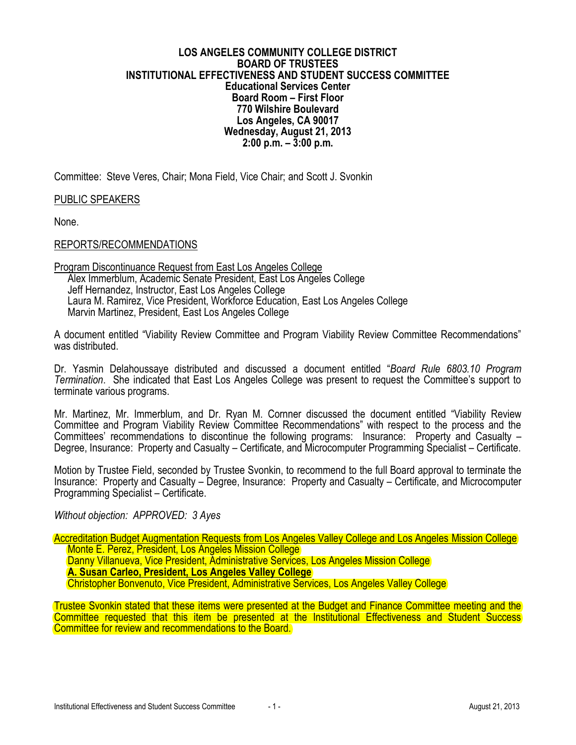#### **LOS ANGELES COMMUNITY COLLEGE DISTRICT BOARD OF TRUSTEES INSTITUTIONAL EFFECTIVENESS AND STUDENT SUCCESS COMMITTEE Educational Services Center Board Room – First Floor 770 Wilshire Boulevard Los Angeles, CA 90017 Wednesday, August 21, 2013 2:00 p.m. – 3:00 p.m.**

Committee: Steve Veres, Chair; Mona Field, Vice Chair; and Scott J. Svonkin

PUBLIC SPEAKERS

None.

#### REPORTS/RECOMMENDATIONS

Program Discontinuance Request from East Los Angeles College Alex Immerblum, Academic Senate President, East Los Angeles College Jeff Hernandez, Instructor, East Los Angeles College Laura M. Ramirez, Vice President, Workforce Education, East Los Angeles College Marvin Martinez, President, East Los Angeles College

A document entitled "Viability Review Committee and Program Viability Review Committee Recommendations" was distributed.

Dr. Yasmin Delahoussaye distributed and discussed a document entitled "*Board Rule 6803.10 Program Termination*. She indicated that East Los Angeles College was present to request the Committee's support to terminate various programs.

Mr. Martinez, Mr. Immerblum, and Dr. Ryan M. Cornner discussed the document entitled "Viability Review Committee and Program Viability Review Committee Recommendations" with respect to the process and the Committees' recommendations to discontinue the following programs: Insurance: Property and Casualty – Degree, Insurance: Property and Casualty – Certificate, and Microcomputer Programming Specialist – Certificate.

Motion by Trustee Field, seconded by Trustee Svonkin, to recommend to the full Board approval to terminate the Insurance: Property and Casualty – Degree, Insurance: Property and Casualty – Certificate, and Microcomputer Programming Specialist – Certificate.

*Without objection: APPROVED: 3 Ayes*

Accreditation Budget Augmentation Requests from Los Angeles Valley College and Los Angeles Mission College Monte E. Perez, President, Los Angeles Mission College Danny Villanueva, Vice President, Administrative Services, Los Angeles Mission College **A. Susan Carleo, President, Los Angeles Valley College** Christopher Bonvenuto, Vice President, Administrative Services, Los Angeles Valley College

Trustee Svonkin stated that these items were presented at the Budget and Finance Committee meeting and the Committee requested that this item be presented at the Institutional Effectiveness and Student Success Committee for review and recommendations to the Board.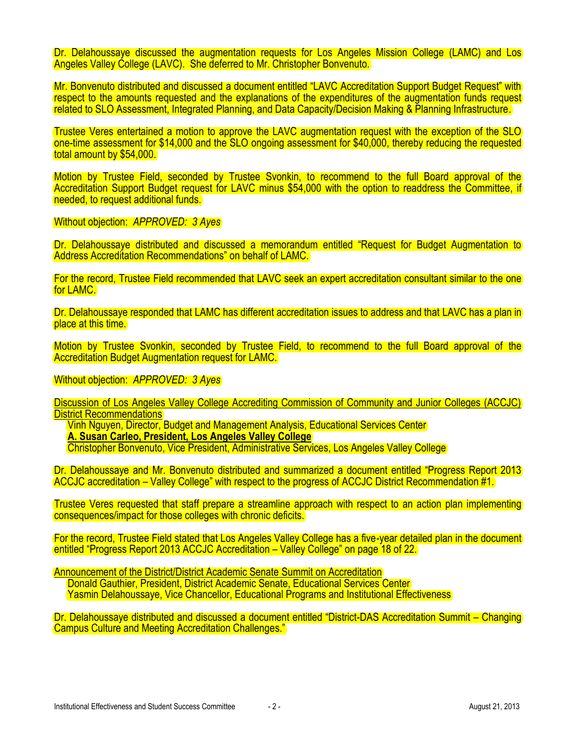Dr. Delahoussaye discussed the augmentation requests for Los Angeles Mission College (LAMC) and Los Angeles Valley College (LAVC). She deferred to Mr. Christopher Bonvenuto.

Mr. Bonvenuto distributed and discussed a document entitled "LAVC Accreditation Support Budget Request" with respect to the amounts requested and the explanations of the expenditures of the augmentation funds request related to SLO Assessment, Integrated Planning, and Data Capacity/Decision Making & Planning Infrastructure.

Trustee Veres entertained a motion to approve the LAVC augmentation request with the exception of the SLO one-time assessment for \$14,000 and the SLO ongoing assessment for \$40,000, thereby reducing the requested total amount by \$54,000.

Motion by Trustee Field, seconded by Trustee Svonkin, to recommend to the full Board approval of the Accreditation Support Budget request for LAVC minus \$54,000 with the option to readdress the Committee, if needed, to request additional funds.

Without objection: *APPROVED: 3 Ayes*

Dr. Delahoussaye distributed and discussed a memorandum entitled "Request for Budget Augmentation to Address Accreditation Recommendations" on behalf of LAMC.

For the record, Trustee Field recommended that LAVC seek an expert accreditation consultant similar to the one for LAMC.

Dr. Delahoussaye responded that LAMC has different accreditation issues to address and that LAVC has a plan in place at this time.

Motion by Trustee Svonkin, seconded by Trustee Field, to recommend to the full Board approval of the Accreditation Budget Augmentation request for LAMC.

Without objection: *APPROVED: 3 Ayes*

Discussion of Los Angeles Valley College Accrediting Commission of Community and Junior Colleges (ACCJC) **District Recommendations** 

Vinh Nguyen, Director, Budget and Management Analysis, Educational Services Center **A. Susan Carleo, President, Los Angeles Valley College** Christopher Bonvenuto, Vice President, Administrative Services, Los Angeles Valley College

Dr. Delahoussaye and Mr. Bonvenuto distributed and summarized a document entitled "Progress Report 2013 ACCJC accreditation – Valley College" with respect to the progress of ACCJC District Recommendation #1.

Trustee Veres requested that staff prepare a streamline approach with respect to an action plan implementing consequences/impact for those colleges with chronic deficits.

For the record, Trustee Field stated that Los Angeles Valley College has a five-year detailed plan in the document entitled "Progress Report 2013 ACCJC Accreditation – Valley College" on page 18 of 22.

Announcement of the District/District Academic Senate Summit on Accreditation Donald Gauthier, President, District Academic Senate, Educational Services Center

Yasmin Delahoussaye, Vice Chancellor, Educational Programs and Institutional Effectiveness

Dr. Delahoussaye distributed and discussed a document entitled "District-DAS Accreditation Summit – Changing Campus Culture and Meeting Accreditation Challenges."